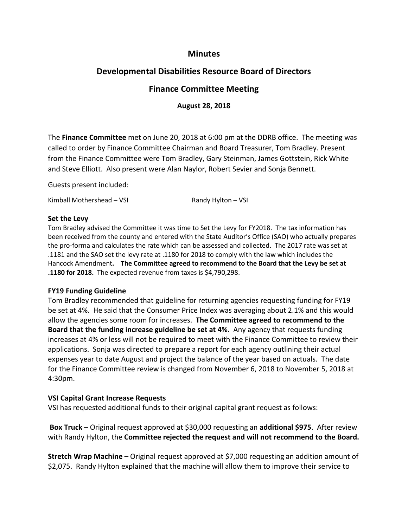# **Minutes**

# **Developmental Disabilities Resource Board of Directors**

# **Finance Committee Meeting**

**August 28, 2018**

The **Finance Committee** met on June 20, 2018 at 6:00 pm at the DDRB office. The meeting was called to order by Finance Committee Chairman and Board Treasurer, Tom Bradley. Present from the Finance Committee were Tom Bradley, Gary Steinman, James Gottstein, Rick White and Steve Elliott. Also present were Alan Naylor, Robert Sevier and Sonja Bennett.

Guests present included:

Kimball Mothershead – VSI  $\blacksquare$  Randy Hylton – VSI

#### **Set the Levy**

Tom Bradley advised the Committee it was time to Set the Levy for FY2018. The tax information has been received from the county and entered with the State Auditor's Office (SAO) who actually prepares the pro-forma and calculates the rate which can be assessed and collected. The 2017 rate was set at .1181 and the SAO set the levy rate at .1180 for 2018 to comply with the law which includes the Hancock Amendment**. The Committee agreed to recommend to the Board that the Levy be set at .1180 for 2018.** The expected revenue from taxes is \$4,790,298.

#### **FY19 Funding Guideline**

Tom Bradley recommended that guideline for returning agencies requesting funding for FY19 be set at 4%. He said that the Consumer Price Index was averaging about 2.1% and this would allow the agencies some room for increases. **The Committee agreed to recommend to the Board that the funding increase guideline be set at 4%.** Any agency that requests funding increases at 4% or less will not be required to meet with the Finance Committee to review their applications. Sonja was directed to prepare a report for each agency outlining their actual expenses year to date August and project the balance of the year based on actuals. The date for the Finance Committee review is changed from November 6, 2018 to November 5, 2018 at 4:30pm.

#### **VSI Capital Grant Increase Requests**

VSI has requested additional funds to their original capital grant request as follows:

**Box Truck** – Original request approved at \$30,000 requesting an **additional \$975**. After review with Randy Hylton, the **Committee rejected the request and will not recommend to the Board.**

**Stretch Wrap Machine –** Original request approved at \$7,000 requesting an addition amount of \$2,075. Randy Hylton explained that the machine will allow them to improve their service to